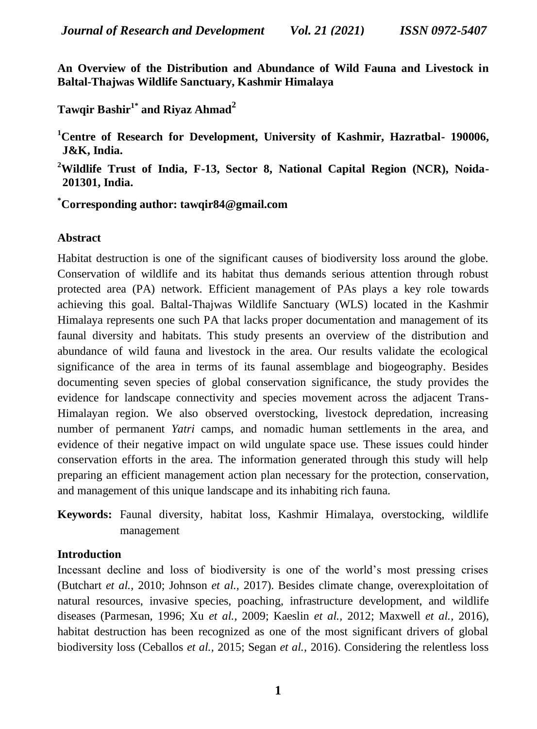**An Overview of the Distribution and Abundance of Wild Fauna and Livestock in Baltal-Thajwas Wildlife Sanctuary, Kashmir Himalaya**

# **Tawqir Bashir1\* and Riyaz Ahmad<sup>2</sup>**

**<sup>1</sup>Centre of Research for Development, University of Kashmir, Hazratbal- 190006, J&K, India.**

**<sup>2</sup>Wildlife Trust of India, F-13, Sector 8, National Capital Region (NCR), Noida-201301, India.**

**\*Corresponding author: tawqir84@gmail.com**

# **Abstract**

Habitat destruction is one of the significant causes of biodiversity loss around the globe. Conservation of wildlife and its habitat thus demands serious attention through robust protected area (PA) network. Efficient management of PAs plays a key role towards achieving this goal. Baltal-Thajwas Wildlife Sanctuary (WLS) located in the Kashmir Himalaya represents one such PA that lacks proper documentation and management of its faunal diversity and habitats. This study presents an overview of the distribution and abundance of wild fauna and livestock in the area. Our results validate the ecological significance of the area in terms of its faunal assemblage and biogeography. Besides documenting seven species of global conservation significance, the study provides the evidence for landscape connectivity and species movement across the adjacent Trans-Himalayan region. We also observed overstocking, livestock depredation, increasing number of permanent *Yatri* camps, and nomadic human settlements in the area, and evidence of their negative impact on wild ungulate space use. These issues could hinder conservation efforts in the area. The information generated through this study will help preparing an efficient management action plan necessary for the protection, conservation, and management of this unique landscape and its inhabiting rich fauna.

**Keywords:** Faunal diversity, habitat loss, Kashmir Himalaya, overstocking, wildlife management

## **Introduction**

Incessant decline and loss of biodiversity is one of the world"s most pressing crises (Butchart *et al.,* 2010; Johnson *et al.,* 2017). Besides climate change, overexploitation of natural resources, invasive species, poaching, infrastructure development, and wildlife diseases (Parmesan, 1996; Xu *et al.,* 2009; Kaeslin *et al.,* 2012; Maxwell *et al.,* 2016), habitat destruction has been recognized as one of the most significant drivers of global biodiversity loss (Ceballos *et al.,* 2015; Segan *et al.,* 2016). Considering the relentless loss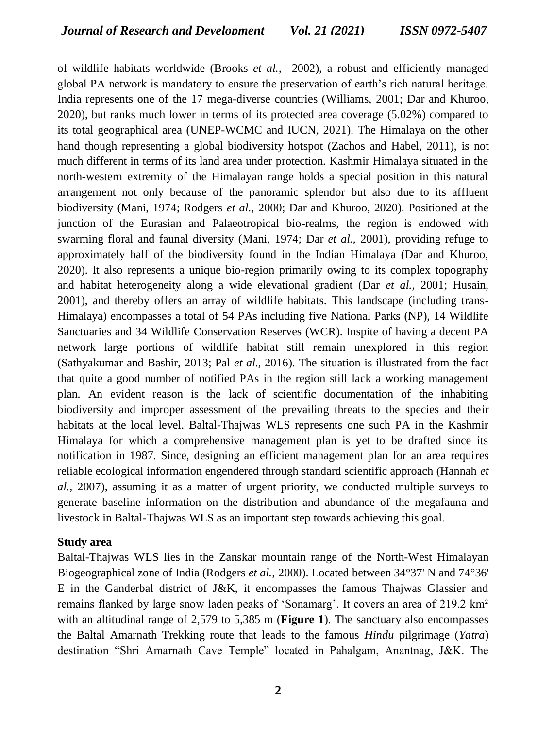of wildlife habitats worldwide (Brooks *et al.,* 2002), a robust and efficiently managed global PA network is mandatory to ensure the preservation of earth"s rich natural heritage. India represents one of the 17 mega-diverse countries (Williams, 2001; Dar and Khuroo, 2020), but ranks much lower in terms of its protected area coverage (5.02%) compared to its total geographical area (UNEP-WCMC and IUCN, 2021). The Himalaya on the other hand though representing a global biodiversity hotspot (Zachos and Habel, 2011), is not much different in terms of its land area under protection. Kashmir Himalaya situated in the north-western extremity of the Himalayan range holds a special position in this natural arrangement not only because of the panoramic splendor but also due to its affluent biodiversity (Mani, 1974; Rodgers *et al.,* 2000; Dar and Khuroo, 2020). Positioned at the junction of the Eurasian and Palaeotropical bio-realms, the region is endowed with swarming floral and faunal diversity (Mani, 1974; Dar *et al.,* 2001), providing refuge to approximately half of the biodiversity found in the Indian Himalaya (Dar and Khuroo, 2020). It also represents a unique bio-region primarily owing to its complex topography and habitat heterogeneity along a wide elevational gradient (Dar *et al.,* 2001; Husain, 2001), and thereby offers an array of wildlife habitats. This landscape (including trans-Himalaya) encompasses a total of 54 PAs including five National Parks (NP), 14 Wildlife Sanctuaries and 34 Wildlife Conservation Reserves (WCR). Inspite of having a decent PA network large portions of wildlife habitat still remain unexplored in this region (Sathyakumar and Bashir, 2013; Pal *et al.,* 2016). The situation is illustrated from the fact that quite a good number of notified PAs in the region still lack a working management plan. An evident reason is the lack of scientific documentation of the inhabiting biodiversity and improper assessment of the prevailing threats to the species and their habitats at the local level. Baltal-Thajwas WLS represents one such PA in the Kashmir Himalaya for which a comprehensive management plan is yet to be drafted since its notification in 1987. Since, designing an efficient management plan for an area requires reliable ecological information engendered through standard scientific approach (Hannah *et al.,* 2007), assuming it as a matter of urgent priority, we conducted multiple surveys to generate baseline information on the distribution and abundance of the megafauna and livestock in Baltal-Thajwas WLS as an important step towards achieving this goal.

#### **Study area**

Baltal-Thajwas WLS lies in the Zanskar mountain range of the North-West Himalayan Biogeographical zone of India (Rodgers *et al.,* 2000). Located between 34°37' N and 74°36' E in the Ganderbal district of J&K, it encompasses the famous Thajwas Glassier and remains flanked by large snow laden peaks of 'Sonamarg'. It covers an area of 219.2 km<sup>2</sup> with an altitudinal range of 2,579 to 5,385 m (**Figure 1**). The sanctuary also encompasses the Baltal Amarnath Trekking route that leads to the famous *Hindu* pilgrimage (*Yatra*) destination "Shri Amarnath Cave Temple" located in Pahalgam, Anantnag, J&K. The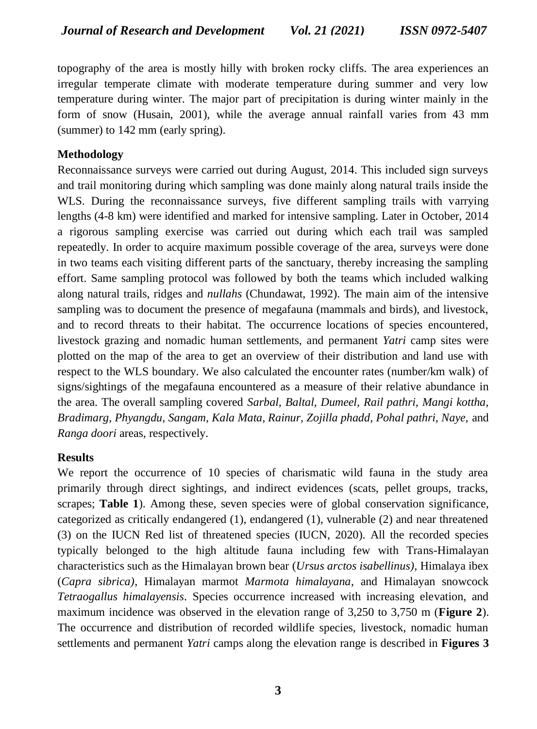topography of the area is mostly hilly with broken rocky cliffs. The area experiences an irregular temperate climate with moderate temperature during summer and very low temperature during winter. The major part of precipitation is during winter mainly in the form of snow (Husain, 2001), while the average annual rainfall varies from 43 mm (summer) to 142 mm (early spring).

# **Methodology**

Reconnaissance surveys were carried out during August, 2014. This included sign surveys and trail monitoring during which sampling was done mainly along natural trails inside the WLS. During the reconnaissance surveys, five different sampling trails with varrying lengths (4-8 km) were identified and marked for intensive sampling. Later in October, 2014 a rigorous sampling exercise was carried out during which each trail was sampled repeatedly. In order to acquire maximum possible coverage of the area, surveys were done in two teams each visiting different parts of the sanctuary, thereby increasing the sampling effort. Same sampling protocol was followed by both the teams which included walking along natural trails, ridges and *nullahs* (Chundawat, 1992). The main aim of the intensive sampling was to document the presence of megafauna (mammals and birds), and livestock, and to record threats to their habitat. The occurrence locations of species encountered, livestock grazing and nomadic human settlements, and permanent *Yatri* camp sites were plotted on the map of the area to get an overview of their distribution and land use with respect to the WLS boundary. We also calculated the encounter rates (number/km walk) of signs/sightings of the megafauna encountered as a measure of their relative abundance in the area. The overall sampling covered *Sarbal, Baltal, Dumeel, Rail pathri, Mangi kottha, Bradimarg, Phyangdu, Sangam, Kala Mata, Rainur, Zojilla phadd, Pohal pathri, Naye,* and *Ranga doori* areas, respectively.

## **Results**

We report the occurrence of 10 species of charismatic wild fauna in the study area primarily through direct sightings, and indirect evidences (scats, pellet groups, tracks, scrapes; **Table 1**). Among these, seven species were of global conservation significance, categorized as critically endangered (1), endangered (1), vulnerable (2) and near threatened (3) on the IUCN Red list of threatened species (IUCN, 2020). All the recorded species typically belonged to the high altitude fauna including few with Trans-Himalayan characteristics such as the Himalayan brown bear (*Ursus arctos isabellinus)*, Himalaya ibex (*Capra sibrica)*, Himalayan marmot *Marmota himalayana*, and Himalayan snowcock *Tetraogallus himalayensis*. Species occurrence increased with increasing elevation, and maximum incidence was observed in the elevation range of 3,250 to 3,750 m (**Figure 2**). The occurrence and distribution of recorded wildlife species, livestock, nomadic human settlements and permanent *Yatri* camps along the elevation range is described in **Figures 3**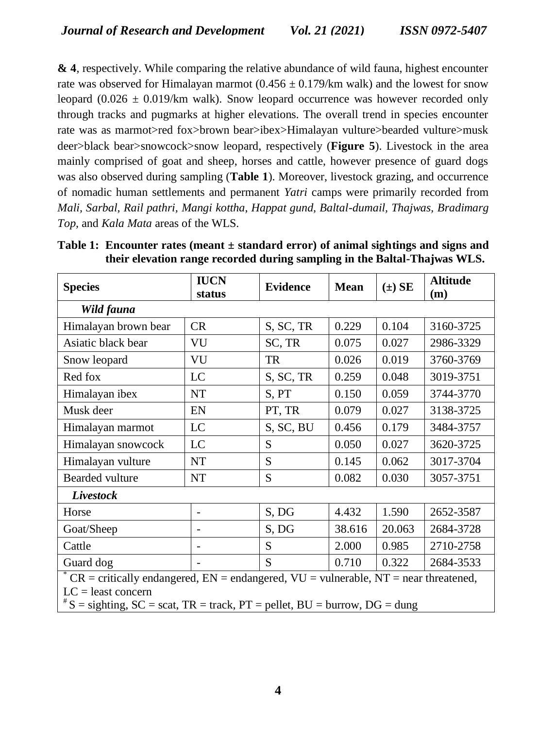**& 4**, respectively. While comparing the relative abundance of wild fauna, highest encounter rate was observed for Himalayan marmot  $(0.456 \pm 0.179/\text{km}$  walk) and the lowest for snow leopard  $(0.026 \pm 0.019/km)$  walk). Snow leopard occurrence was however recorded only through tracks and pugmarks at higher elevations. The overall trend in species encounter rate was as marmot>red fox>brown bear>ibex>Himalayan vulture>bearded vulture>musk deer>black bear>snowcock>snow leopard, respectively (**Figure 5**). Livestock in the area mainly comprised of goat and sheep, horses and cattle, however presence of guard dogs was also observed during sampling (**Table 1**). Moreover, livestock grazing, and occurrence of nomadic human settlements and permanent *Yatri* camps were primarily recorded from *Mali, Sarbal, Rail pathri, Mangi kottha, Happat gund, Baltal-dumail, Thajwas, Bradimarg Top,* and *Kala Mata* areas of the WLS.

| <b>Species</b>                                                                                                    | <b>IUCN</b><br>status    | <b>Evidence</b> | <b>Mean</b> | $(\pm)$ SE | <b>Altitude</b><br>(m) |
|-------------------------------------------------------------------------------------------------------------------|--------------------------|-----------------|-------------|------------|------------------------|
| Wild fauna                                                                                                        |                          |                 |             |            |                        |
| Himalayan brown bear                                                                                              | <b>CR</b>                | S, SC, TR       | 0.229       | 0.104      | 3160-3725              |
| Asiatic black bear                                                                                                | VU                       | SC, TR          | 0.075       | 0.027      | 2986-3329              |
| Snow leopard                                                                                                      | VU                       | <b>TR</b>       | 0.026       | 0.019      | 3760-3769              |
| Red fox                                                                                                           | LC                       | S, SC, TR       | 0.259       | 0.048      | 3019-3751              |
| Himalayan ibex                                                                                                    | <b>NT</b>                | S, PT           | 0.150       | 0.059      | 3744-3770              |
| Musk deer                                                                                                         | EN                       | PT, TR          | 0.079       | 0.027      | 3138-3725              |
| Himalayan marmot                                                                                                  | LC                       | S, SC, BU       | 0.456       | 0.179      | 3484-3757              |
| Himalayan snowcock                                                                                                | LC                       | S               | 0.050       | 0.027      | 3620-3725              |
| Himalayan vulture                                                                                                 | NT                       | S               | 0.145       | 0.062      | 3017-3704              |
| Bearded vulture                                                                                                   | <b>NT</b>                | S               | 0.082       | 0.030      | 3057-3751              |
| Livestock                                                                                                         |                          |                 |             |            |                        |
| Horse                                                                                                             | $\overline{\phantom{a}}$ | S, DG           | 4.432       | 1.590      | 2652-3587              |
| Goat/Sheep                                                                                                        |                          | S, DG           | 38.616      | 20.063     | 2684-3728              |
| Cattle                                                                                                            |                          | S               | 2.000       | 0.985      | 2710-2758              |
| Guard dog                                                                                                         |                          | S               | 0.710       | 0.322      | 2684-3533              |
| $C =$ CR = critically endangered, EN = endangered, VU = vulnerable, NT = near threatened,<br>$LC = least concern$ |                          |                 |             |            |                        |

**Table 1: Encounter rates (meant ± standard error) of animal sightings and signs and their elevation range recorded during sampling in the Baltal-Thajwas WLS.**

 $\vert$  # S = sighting, SC = scat, TR = track, PT = pellet, BU = burrow, DG = dung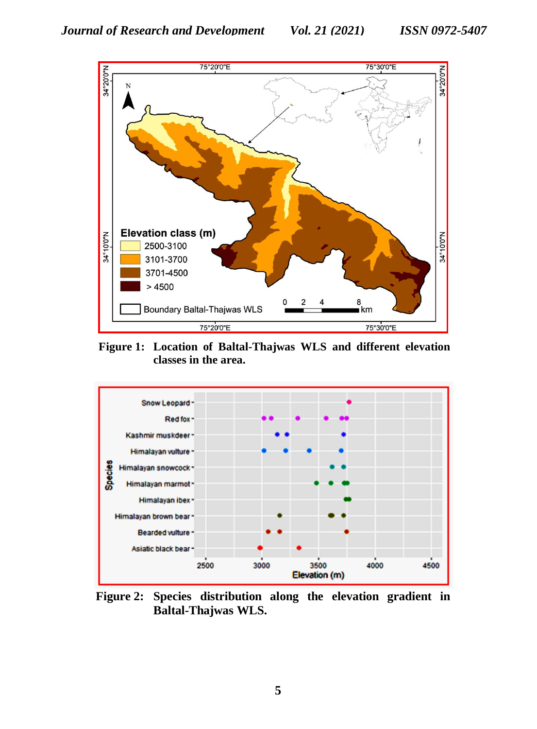

**Figure 1: Location of Baltal-Thajwas WLS and different elevation classes in the area.**



**Figure 2: Species distribution along the elevation gradient in Baltal-Thajwas WLS.**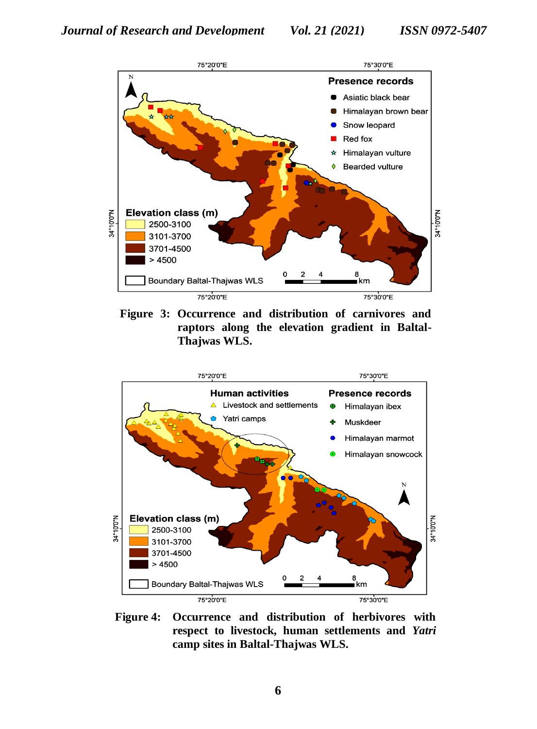

**Figure 3: Occurrence and distribution of carnivores and raptors along the elevation gradient in Baltal-Thajwas WLS.**



**Figure 4: Occurrence and distribution of herbivores with respect to livestock, human settlements and** *Yatri*  **camp sites in Baltal-Thajwas WLS.**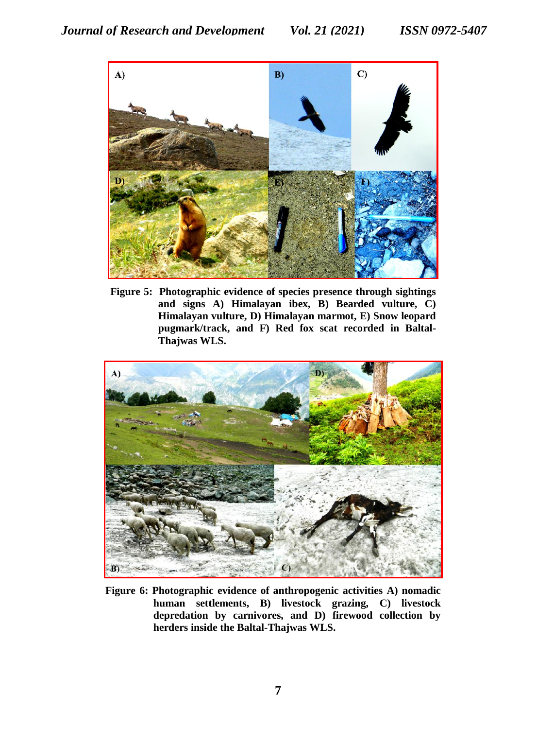

**Figure 5: Photographic evidence of species presence through sightings and signs A) Himalayan ibex, B) Bearded vulture, C) Himalayan vulture, D) Himalayan marmot, E) Snow leopard pugmark/track, and F) Red fox scat recorded in Baltal-Thajwas WLS.**



**Figure 6: Photographic evidence of anthropogenic activities A) nomadic human settlements, B) livestock grazing, C) livestock depredation by carnivores, and D) firewood collection by herders inside the Baltal-Thajwas WLS.**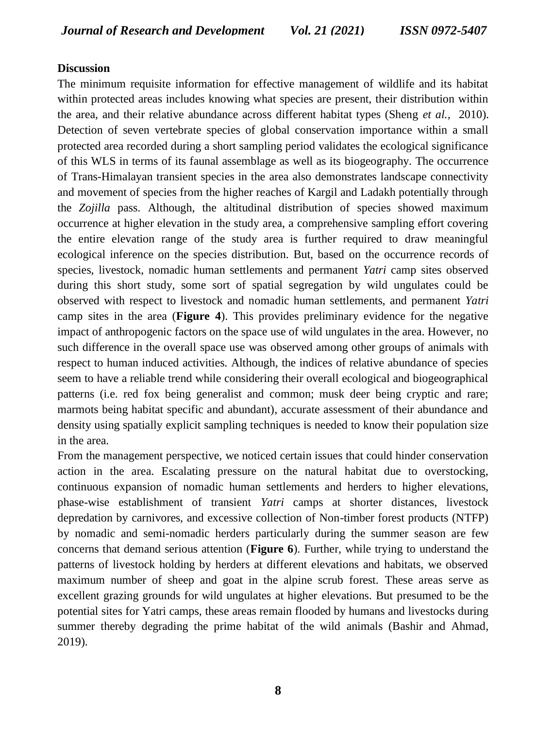### **Discussion**

The minimum requisite information for effective management of wildlife and its habitat within protected areas includes knowing what species are present, their distribution within the area, and their relative abundance across different habitat types (Sheng *et al.,* 2010). Detection of seven vertebrate species of global conservation importance within a small protected area recorded during a short sampling period validates the ecological significance of this WLS in terms of its faunal assemblage as well as its biogeography. The occurrence of Trans-Himalayan transient species in the area also demonstrates landscape connectivity and movement of species from the higher reaches of Kargil and Ladakh potentially through the *Zojilla* pass. Although, the altitudinal distribution of species showed maximum occurrence at higher elevation in the study area, a comprehensive sampling effort covering the entire elevation range of the study area is further required to draw meaningful ecological inference on the species distribution. But, based on the occurrence records of species, livestock, nomadic human settlements and permanent *Yatri* camp sites observed during this short study, some sort of spatial segregation by wild ungulates could be observed with respect to livestock and nomadic human settlements, and permanent *Yatri*  camp sites in the area (**Figure 4**). This provides preliminary evidence for the negative impact of anthropogenic factors on the space use of wild ungulates in the area. However, no such difference in the overall space use was observed among other groups of animals with respect to human induced activities. Although, the indices of relative abundance of species seem to have a reliable trend while considering their overall ecological and biogeographical patterns (i.e. red fox being generalist and common; musk deer being cryptic and rare; marmots being habitat specific and abundant), accurate assessment of their abundance and density using spatially explicit sampling techniques is needed to know their population size in the area.

From the management perspective, we noticed certain issues that could hinder conservation action in the area. Escalating pressure on the natural habitat due to overstocking, continuous expansion of nomadic human settlements and herders to higher elevations, phase-wise establishment of transient *Yatri* camps at shorter distances, livestock depredation by carnivores, and excessive collection of Non-timber forest products (NTFP) by nomadic and semi-nomadic herders particularly during the summer season are few concerns that demand serious attention (**Figure 6**). Further, while trying to understand the patterns of livestock holding by herders at different elevations and habitats, we observed maximum number of sheep and goat in the alpine scrub forest. These areas serve as excellent grazing grounds for wild ungulates at higher elevations. But presumed to be the potential sites for Yatri camps, these areas remain flooded by humans and livestocks during summer thereby degrading the prime habitat of the wild animals (Bashir and Ahmad, 2019).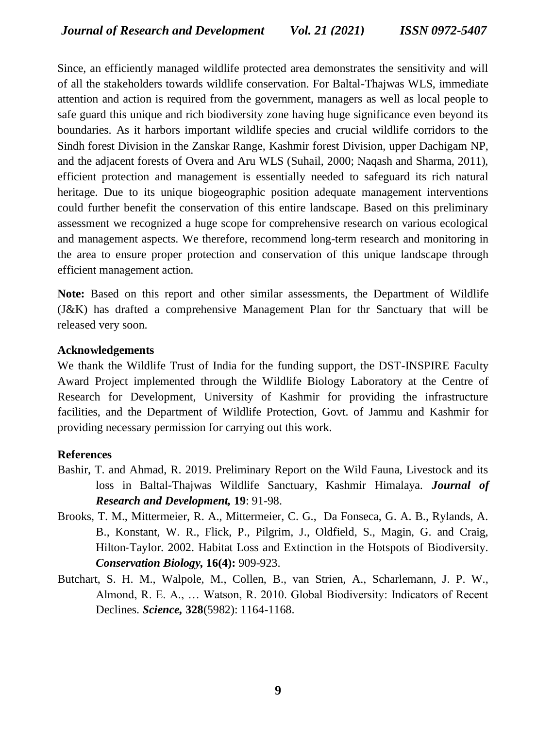Since, an efficiently managed wildlife protected area demonstrates the sensitivity and will of all the stakeholders towards wildlife conservation. For Baltal-Thajwas WLS, immediate attention and action is required from the government, managers as well as local people to safe guard this unique and rich biodiversity zone having huge significance even beyond its boundaries. As it harbors important wildlife species and crucial wildlife corridors to the Sindh forest Division in the Zanskar Range, Kashmir forest Division, upper Dachigam NP, and the adjacent forests of Overa and Aru WLS (Suhail, 2000; Naqash and Sharma, 2011), efficient protection and management is essentially needed to safeguard its rich natural heritage. Due to its unique biogeographic position adequate management interventions could further benefit the conservation of this entire landscape. Based on this preliminary assessment we recognized a huge scope for comprehensive research on various ecological and management aspects. We therefore, recommend long-term research and monitoring in the area to ensure proper protection and conservation of this unique landscape through efficient management action.

**Note:** Based on this report and other similar assessments, the Department of Wildlife (J&K) has drafted a comprehensive Management Plan for thr Sanctuary that will be released very soon.

### **Acknowledgements**

We thank the Wildlife Trust of India for the funding support, the DST-INSPIRE Faculty Award Project implemented through the Wildlife Biology Laboratory at the Centre of Research for Development, University of Kashmir for providing the infrastructure facilities, and the Department of Wildlife Protection, Govt. of Jammu and Kashmir for providing necessary permission for carrying out this work.

## **References**

- Bashir, T. and Ahmad, R. 2019. Preliminary Report on the Wild Fauna, Livestock and its loss in Baltal-Thajwas Wildlife Sanctuary, Kashmir Himalaya. *Journal of Research and Development,* **19**: 91-98.
- Brooks, T. M., Mittermeier, R. A., Mittermeier, C. G., Da Fonseca, G. A. B., Rylands, A. B., Konstant, W. R., Flick, P., Pilgrim, J., Oldfield, S., Magin, G. and Craig, Hilton‐Taylor. 2002. Habitat Loss and Extinction in the Hotspots of Biodiversity. *Conservation Biology,* **16(4):** 909-923.
- Butchart, S. H. M., Walpole, M., Collen, B., van Strien, A., Scharlemann, J. P. W., Almond, R. E. A., … Watson, R. 2010. Global Biodiversity: Indicators of Recent Declines. *Science,* **328**(5982): 1164-1168.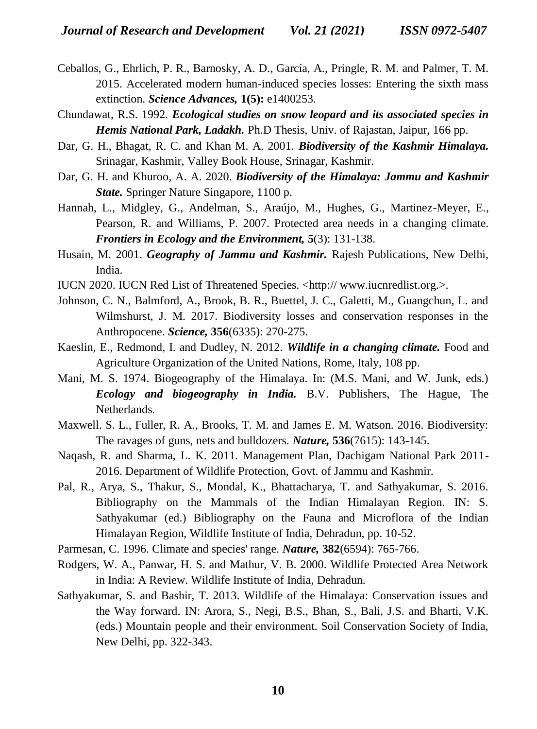- Ceballos, G., Ehrlich, P. R., Barnosky, A. D., García, A., Pringle, R. M. and Palmer, T. M. 2015. Accelerated modern human-induced species losses: Entering the sixth mass extinction. *Science Advances,* **1(5):** e1400253.
- Chundawat, R.S. 1992. *Ecological studies on snow leopard and its associated species in Hemis National Park, Ladakh.* Ph.D Thesis, Univ. of Rajastan, Jaipur, 166 pp.
- Dar, G. H., Bhagat, R. C. and Khan M. A. 2001. *Biodiversity of the Kashmir Himalaya.* Srinagar, Kashmir, Valley Book House, Srinagar, Kashmir.
- Dar, G. H. and Khuroo, A. A. 2020. *Biodiversity of the Himalaya: Jammu and Kashmir State.* Springer Nature Singapore, 1100 p.
- Hannah, L., Midgley, G., Andelman, S., Araújo, M., Hughes, G., Martinez-Meyer, E., Pearson, R. and Williams, P. 2007. Protected area needs in a changing climate. *Frontiers in Ecology and the Environment,* **5**(3): 131-138.
- Husain, M. 2001. *Geography of Jammu and Kashmir.* Rajesh Publications, New Delhi, India.
- IUCN 2020. IUCN Red List of Threatened Species. <http:// www.iucnredlist.org.>.
- Johnson, C. N., Balmford, A., Brook, B. R., Buettel, J. C., Galetti, M., Guangchun, L. and Wilmshurst, J. M. 2017. Biodiversity losses and conservation responses in the Anthropocene. *Science,* **356**(6335): 270-275.
- Kaeslin, E., Redmond, I. and Dudley, N. 2012. *Wildlife in a changing climate.* Food and Agriculture Organization of the United Nations, Rome, Italy, 108 pp.
- Mani, M. S. 1974. Biogeography of the Himalaya. In: (M.S. Mani, and W. Junk, eds.) *Ecology and biogeography in India.* B.V. Publishers, The Hague, The Netherlands.
- Maxwell. S. L., Fuller, R. A., Brooks, T. M. and James E. M. Watson. 2016. Biodiversity: The ravages of guns, nets and bulldozers. *Nature,* **536**(7615): 143-145.
- Naqash, R. and Sharma, L. K. 2011. Management Plan, Dachigam National Park 2011- 2016. Department of Wildlife Protection, Govt. of Jammu and Kashmir.
- Pal, R., Arya, S., Thakur, S., Mondal, K., Bhattacharya, T. and Sathyakumar, S. 2016. Bibliography on the Mammals of the Indian Himalayan Region. IN: S. Sathyakumar (ed.) Bibliography on the Fauna and Microflora of the Indian Himalayan Region, Wildlife Institute of India, Dehradun, pp. 10-52.
- Parmesan, C. 1996. Climate and species' range. *Nature,* **382**(6594): 765-766.
- Rodgers, W. A., Panwar, H. S. and Mathur, V. B. 2000. Wildlife Protected Area Network in India: A Review. Wildlife Institute of India, Dehradun.
- Sathyakumar, S. and Bashir, T. 2013. Wildlife of the Himalaya: Conservation issues and the Way forward. IN: Arora, S., Negi, B.S., Bhan, S., Bali, J.S. and Bharti, V.K. (eds.) Mountain people and their environment. Soil Conservation Society of India, New Delhi, pp. 322-343.